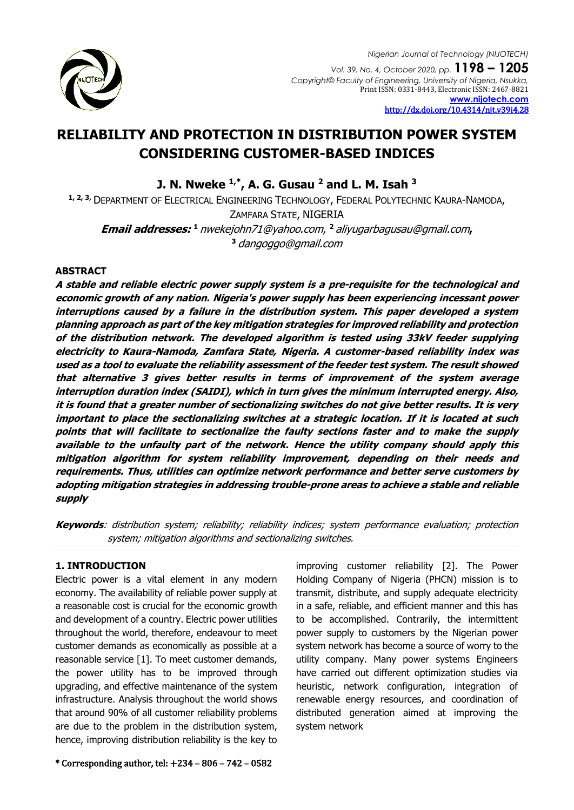

# **RELIABILITY AND PROTECTION IN DISTRIBUTION POWER SYSTEM CONSIDERING CUSTOMER-BASED INDICES**

**J. N. Nweke 1,\*, A. G. Gusau <sup>2</sup> and L. M. Isah <sup>3</sup>**

**1, 2, 3,** DEPARTMENT OF ELECTRICAL ENGINEERING TECHNOLOGY, FEDERAL POLYTECHNIC KAURA-NAMODA, ZAMFARA STATE, NIGERIA **Email addresses: <sup>1</sup>**[nwekejohn71@yahoo.com](mailto:1%20nwekejohn71@yahoo.com), **<sup>2</sup>**[aliyugarbagusau@gmail.com](mailto:2%20aliyugarbagusau@gmail.com)**, <sup>3</sup>** [dangoggo@gmail.com](mailto:dangoggo@gmail.com)

### **ABSTRACT**

**A stable and reliable electric power supply system is a pre-requisite for the technological and economic growth of any nation. Nigeria's power supply has been experiencing incessant power interruptions caused by a failure in the distribution system. This paper developed a system planning approach as part of the key mitigation strategies for improved reliability and protection of the distribution network. The developed algorithm is tested using 33kV feeder supplying electricity to Kaura-Namoda, Zamfara State, Nigeria. A customer-based reliability index was used as a tool to evaluate the reliability assessment of the feeder test system. The result showed that alternative 3 gives better results in terms of improvement of the system average interruption duration index (SAIDI), which in turn gives the minimum interrupted energy. Also, it is found that a greater number of sectionalizing switches do not give better results. It is very important to place the sectionalizing switches at a strategic location. If it is located at such points that will facilitate to sectionalize the faulty sections faster and to make the supply available to the unfaulty part of the network. Hence the utility company should apply this mitigation algorithm for system reliability improvement, depending on their needs and requirements. Thus, utilities can optimize network performance and better serve customers by adopting mitigation strategies in addressing trouble-prone areas to achieve a stable and reliable supply**

**Keywords**: distribution system; reliability; reliability indices; system performance evaluation; protection system; mitigation algorithms and sectionalizing switches.

### **1. INTRODUCTION**

Electric power is a vital element in any modern economy. The availability of reliable power supply at a reasonable cost is crucial for the economic growth and development of a country. Electric power utilities throughout the world, therefore, endeavour to meet customer demands as economically as possible at a reasonable service [1]. To meet customer demands, the power utility has to be improved through upgrading, and effective maintenance of the system infrastructure. Analysis throughout the world shows that around 90% of all customer reliability problems are due to the problem in the distribution system, hence, improving distribution reliability is the key to

improving customer reliability [2]. The Power Holding Company of Nigeria (PHCN) mission is to transmit, distribute, and supply adequate electricity in a safe, reliable, and efficient manner and this has to be accomplished. Contrarily, the intermittent power supply to customers by the Nigerian power system network has become a source of worry to the utility company. Many power systems Engineers have carried out different optimization studies via heuristic, network configuration, integration of renewable energy resources, and coordination of distributed generation aimed at improving the system network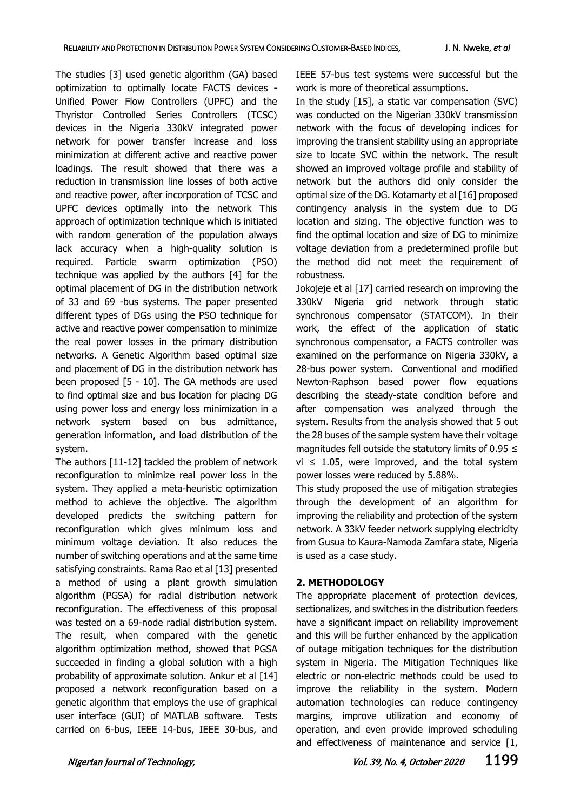The studies [3] used genetic algorithm (GA) based optimization to optimally locate FACTS devices - Unified Power Flow Controllers (UPFC) and the Thyristor Controlled Series Controllers (TCSC) devices in the Nigeria 330kV integrated power network for power transfer increase and loss minimization at different active and reactive power loadings. The result showed that there was a reduction in transmission line losses of both active and reactive power, after incorporation of TCSC and UPFC devices optimally into the network This approach of optimization technique which is initiated with random generation of the population always lack accuracy when a high-quality solution is required. Particle swarm optimization (PSO) technique was applied by the authors [4] for the optimal placement of DG in the distribution network of 33 and 69 -bus systems. The paper presented different types of DGs using the PSO technique for active and reactive power compensation to minimize the real power losses in the primary distribution networks. A Genetic Algorithm based optimal size and placement of DG in the distribution network has been proposed [5 - 10]. The GA methods are used to find optimal size and bus location for placing DG using power loss and energy loss minimization in a network system based on bus admittance, generation information, and load distribution of the system.

The authors [11-12] tackled the problem of network reconfiguration to minimize real power loss in the system. They applied a meta-heuristic optimization method to achieve the objective. The algorithm developed predicts the switching pattern for reconfiguration which gives minimum loss and minimum voltage deviation. It also reduces the number of switching operations and at the same time satisfying constraints. Rama Rao et al [13] presented a method of using a plant growth simulation algorithm (PGSA) for radial distribution network reconfiguration. The effectiveness of this proposal was tested on a 69-node radial distribution system. The result, when compared with the genetic algorithm optimization method, showed that PGSA succeeded in finding a global solution with a high probability of approximate solution. Ankur et al [14] proposed a network reconfiguration based on a genetic algorithm that employs the use of graphical user interface (GUI) of MATLAB software. Tests carried on 6-bus, IEEE 14-bus, IEEE 30-bus, and

IEEE 57-bus test systems were successful but the work is more of theoretical assumptions.

In the study [15], a static var compensation (SVC) was conducted on the Nigerian 330kV transmission network with the focus of developing indices for improving the transient stability using an appropriate size to locate SVC within the network. The result showed an improved voltage profile and stability of network but the authors did only consider the optimal size of the DG. Kotamarty et al [16] proposed contingency analysis in the system due to DG location and sizing. The objective function was to find the optimal location and size of DG to minimize voltage deviation from a predetermined profile but the method did not meet the requirement of robustness.

Jokojeje et al [17] carried research on improving the 330kV Nigeria grid network through static synchronous compensator (STATCOM). In their work, the effect of the application of static synchronous compensator, a FACTS controller was examined on the performance on Nigeria 330kV, a 28-bus power system. Conventional and modified Newton-Raphson based power flow equations describing the steady-state condition before and after compensation was analyzed through the system. Results from the analysis showed that 5 out the 28 buses of the sample system have their voltage magnitudes fell outside the statutory limits of 0.95 ≤  $vi \leq 1.05$ , were improved, and the total system power losses were reduced by 5.88%.

This study proposed the use of mitigation strategies through the development of an algorithm for improving the reliability and protection of the system network. A 33kV feeder network supplying electricity from Gusua to Kaura-Namoda Zamfara state, Nigeria is used as a case study.

# **2. METHODOLOGY**

The appropriate placement of protection devices, sectionalizes, and switches in the distribution feeders have a significant impact on reliability improvement and this will be further enhanced by the application of outage mitigation techniques for the distribution system in Nigeria. The Mitigation Techniques like electric or non-electric methods could be used to improve the reliability in the system. Modern automation technologies can reduce contingency margins, improve utilization and economy of operation, and even provide improved scheduling and effectiveness of maintenance and service [1,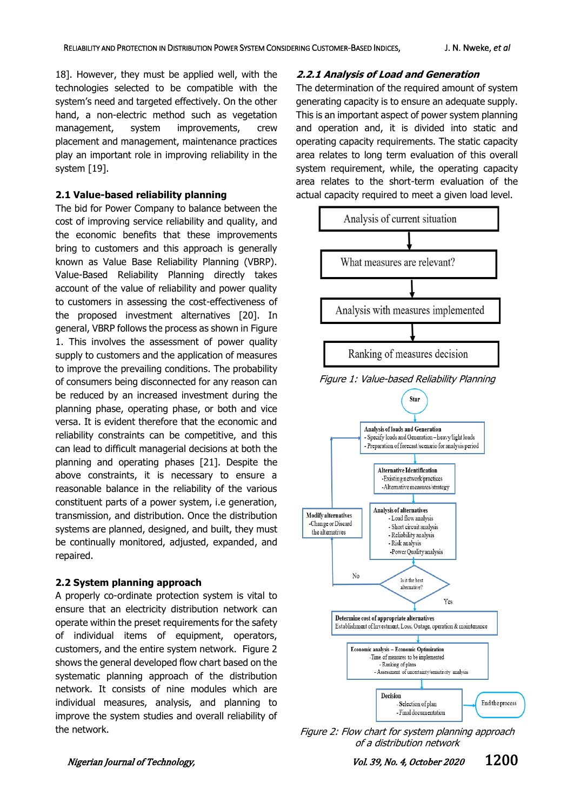18]. However, they must be applied well, with the technologies selected to be compatible with the system's need and targeted effectively. On the other hand, a non-electric method such as vegetation management, system improvements, crew placement and management, maintenance practices play an important role in improving reliability in the system [19].

### **2.1 Value-based reliability planning**

The bid for Power Company to balance between the cost of improving service reliability and quality, and the economic benefits that these improvements bring to customers and this approach is generally known as Value Base Reliability Planning (VBRP). Value-Based Reliability Planning directly takes account of the value of reliability and power quality to customers in assessing the cost-effectiveness of the proposed investment alternatives [20]. In general, VBRP follows the process as shown in Figure 1. This involves the assessment of power quality supply to customers and the application of measures to improve the prevailing conditions. The probability of consumers being disconnected for any reason can be reduced by an increased investment during the planning phase, operating phase, or both and vice versa. It is evident therefore that the economic and reliability constraints can be competitive, and this can lead to difficult managerial decisions at both the planning and operating phases [21]. Despite the above constraints, it is necessary to ensure a reasonable balance in the reliability of the various constituent parts of a power system, i.e generation, transmission, and distribution. Once the distribution systems are planned, designed, and built, they must be continually monitored, adjusted, expanded, and repaired.

# **2.2 System planning approach**

A properly co-ordinate protection system is vital to ensure that an electricity distribution network can operate within the preset requirements for the safety of individual items of equipment, operators, customers, and the entire system network. Figure 2 shows the general developed flow chart based on the systematic planning approach of the distribution network. It consists of nine modules which are individual measures, analysis, and planning to improve the system studies and overall reliability of the network.

### **2.2.1 Analysis of Load and Generation**

The determination of the required amount of system generating capacity is to ensure an adequate supply. This is an important aspect of power system planning and operation and, it is divided into static and operating capacity requirements. The static capacity area relates to long term evaluation of this overall system requirement, while, the operating capacity area relates to the short-term evaluation of the actual capacity required to meet a given load level.



Figure 2: Flow chart for system planning approach of a distribution network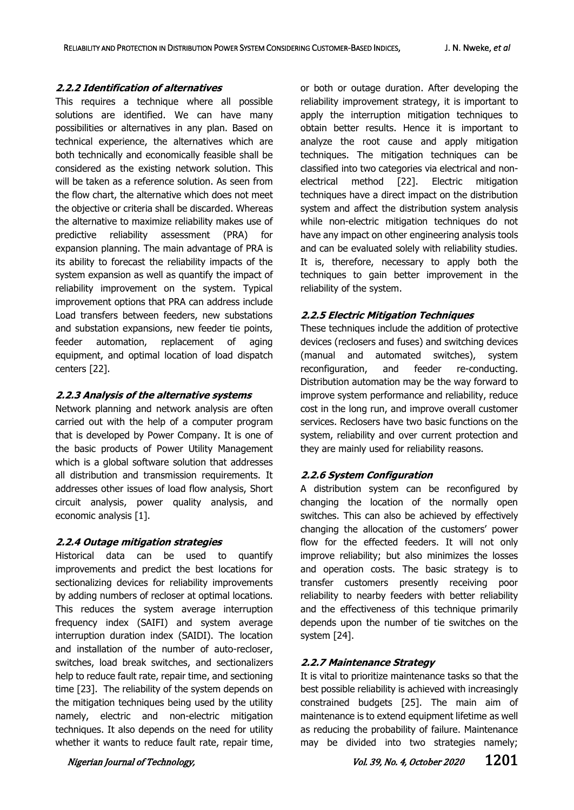### **2.2.2 Identification of alternatives**

This requires a technique where all possible solutions are identified. We can have many possibilities or alternatives in any plan. Based on technical experience, the alternatives which are both technically and economically feasible shall be considered as the existing network solution. This will be taken as a reference solution. As seen from the flow chart, the alternative which does not meet the objective or criteria shall be discarded. Whereas the alternative to maximize reliability makes use of predictive reliability assessment (PRA) for expansion planning. The main advantage of PRA is its ability to forecast the reliability impacts of the system expansion as well as quantify the impact of reliability improvement on the system. Typical improvement options that PRA can address include Load transfers between feeders, new substations and substation expansions, new feeder tie points, feeder automation, replacement of aging equipment, and optimal location of load dispatch centers [22].

# **2.2.3 Analysis of the alternative systems**

Network planning and network analysis are often carried out with the help of a computer program that is developed by Power Company. It is one of the basic products of Power Utility Management which is a global software solution that addresses all distribution and transmission requirements. It addresses other issues of load flow analysis, Short circuit analysis, power quality analysis, and economic analysis [1].

### **2.2.4 Outage mitigation strategies**

Historical data can be used to quantify improvements and predict the best locations for sectionalizing devices for reliability improvements by adding numbers of recloser at optimal locations. This reduces the system average interruption frequency index (SAIFI) and system average interruption duration index (SAIDI). The location and installation of the number of auto-recloser, switches, load break switches, and sectionalizers help to reduce fault rate, repair time, and sectioning time [23]. The reliability of the system depends on the mitigation techniques being used by the utility namely, electric and non-electric mitigation techniques. It also depends on the need for utility whether it wants to reduce fault rate, repair time, or both or outage duration. After developing the reliability improvement strategy, it is important to apply the interruption mitigation techniques to obtain better results. Hence it is important to analyze the root cause and apply mitigation techniques. The mitigation techniques can be classified into two categories via electrical and nonelectrical method [22]. Electric mitigation techniques have a direct impact on the distribution system and affect the distribution system analysis while non-electric mitigation techniques do not have any impact on other engineering analysis tools and can be evaluated solely with reliability studies. It is, therefore, necessary to apply both the techniques to gain better improvement in the reliability of the system.

# **2.2.5 Electric Mitigation Techniques**

These techniques include the addition of protective devices (reclosers and fuses) and switching devices (manual and automated switches), system reconfiguration, and feeder re-conducting. Distribution automation may be the way forward to improve system performance and reliability, reduce cost in the long run, and improve overall customer services. Reclosers have two basic functions on the system, reliability and over current protection and they are mainly used for reliability reasons.

# **2.2.6 System Configuration**

A distribution system can be reconfigured by changing the location of the normally open switches. This can also be achieved by effectively changing the allocation of the customers' power flow for the effected feeders. It will not only improve reliability; but also minimizes the losses and operation costs. The basic strategy is to transfer customers presently receiving poor reliability to nearby feeders with better reliability and the effectiveness of this technique primarily depends upon the number of tie switches on the system [24].

# **2.2.7 Maintenance Strategy**

It is vital to prioritize maintenance tasks so that the best possible reliability is achieved with increasingly constrained budgets [25]. The main aim of maintenance is to extend equipment lifetime as well as reducing the probability of failure. Maintenance may be divided into two strategies namely;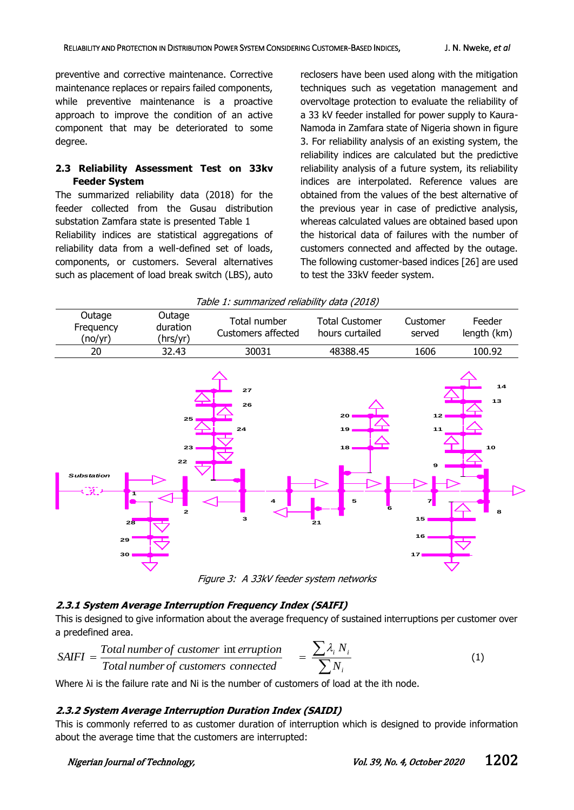preventive and corrective maintenance. Corrective maintenance replaces or repairs failed components, while preventive maintenance is a proactive approach to improve the condition of an active component that may be deteriorated to some degree.

### **2.3 Reliability Assessment Test on 33kv Feeder System**

The summarized reliability data (2018) for the feeder collected from the Gusau distribution substation Zamfara state is presented Table 1 Reliability indices are statistical aggregations of reliability data from a well-defined set of loads, components, or customers. Several alternatives such as placement of load break switch (LBS), auto reclosers have been used along with the mitigation techniques such as vegetation management and overvoltage protection to evaluate the reliability of a 33 kV feeder installed for power supply to Kaura-Namoda in Zamfara state of Nigeria shown in figure 3. For reliability analysis of an existing system, the reliability indices are calculated but the predictive reliability analysis of a future system, its reliability indices are interpolated. Reference values are obtained from the values of the best alternative of the previous year in case of predictive analysis, whereas calculated values are obtained based upon the historical data of failures with the number of customers connected and affected by the outage. The following customer-based indices [26] are used to test the 33kV feeder system.



# **2.3.1 System Average Interruption Frequency Index (SAIFI)**

This is designed to give information about the average frequency of sustained interruptions per customer over a predefined area.

$$
SAIFI = \frac{Total number of customer in territor}{Total number of customers connected} = \frac{\sum \lambda_i N_i}{\sum N_i}
$$
 (1)

Where λi is the failure rate and Ni is the number of customers of load at the ith node.

# **2.3.2 System Average Interruption Duration Index (SAIDI)**

This is commonly referred to as customer duration of interruption which is designed to provide information about the average time that the customers are interrupted: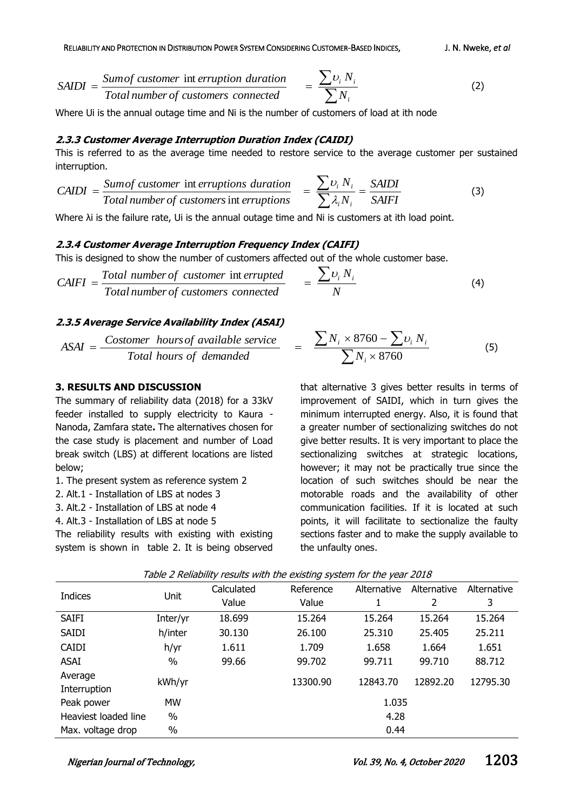$$
SAIDI = \frac{Sum of customer in territor duration}{Total number of customers connected} = \frac{\sum v_i N_i}{\sum N_i}
$$
 (2)

Where Ui is the annual outage time and Ni is the number of customers of load at ith node

### **2.3.3 Customer Average Interruption Duration Index (CAIDI)**

This is referred to as the average time needed to restore service to the average customer per sustained interruption.

$$
CAIDI = \frac{Sum of customer intruptions duration}{Total number of customers intruptions} = \frac{\sum v_i N_i}{\sum \lambda_i N_i} = \frac{SAIDI}{SAIFI}
$$
(3)

Where λi is the failure rate, Ui is the annual outage time and Ni is customers at ith load point.

### **2.3.4 Customer Average Interruption Frequency Index (CAIFI)**

This is designed to show the number of customers affected out of the whole customer base.

$$
CAIFI = \frac{Total\ number\ of\ customer\ int\ errupted}{Total\ number\ of\ customers\ connected} = \frac{\sum v_i N_i}{N}
$$
 (4)

### **2.3.5 Average Service Availability Index (ASAI)**

 $ASAI = \frac{Costomer \; hours of \; available \; service}{T} =$ *Total hours of demanded*

### **3. RESULTS AND DISCUSSION**

The summary of reliability data (2018) for a 33kV feeder installed to supply electricity to Kaura - Nanoda, Zamfara state**.** The alternatives chosen for the case study is placement and number of Load break switch (LBS) at different locations are listed below;

- 1. The present system as reference system 2
- 2. Alt.1 Installation of LBS at nodes 3
- 3. Alt.2 Installation of LBS at node 4
- 4. Alt.3 Installation of LBS at node 5

The reliability results with existing with existing system is shown in table 2. It is being observed

$$
\frac{\sum N_i \times 8760 - \sum \nu_i N_i}{\sum N_i \times 8760} \tag{5}
$$

that alternative 3 gives better results in terms of improvement of SAIDI, which in turn gives the minimum interrupted energy. Also, it is found that a greater number of sectionalizing switches do not give better results. It is very important to place the sectionalizing switches at strategic locations, however; it may not be practically true since the location of such switches should be near the motorable roads and the availability of other communication facilities. If it is located at such points, it will facilitate to sectionalize the faulty sections faster and to make the supply available to the unfaulty ones.

|                      |           | $\epsilon$ | <u>.</u>  | ,           |             |             |  |
|----------------------|-----------|------------|-----------|-------------|-------------|-------------|--|
| <b>Indices</b>       | Unit      | Calculated | Reference | Alternative | Alternative | Alternative |  |
|                      |           | Value      | Value     | 1           | 2           | 3           |  |
| <b>SAIFI</b>         | Inter/yr  | 18.699     | 15.264    | 15.264      | 15.264      | 15.264      |  |
| <b>SAIDI</b>         | h/inter   | 30.130     | 26.100    | 25.310      | 25.405      | 25.211      |  |
| <b>CAIDI</b>         | h/yr      | 1.611      | 1.709     | 1.658       | 1.664       | 1.651       |  |
| ASAI                 | $\%$      | 99.66      | 99.702    | 99.711      | 99.710      | 88.712      |  |
| Average              | kWh/yr    |            | 13300.90  | 12843.70    | 12892.20    | 12795.30    |  |
| Interruption         |           |            |           |             |             |             |  |
| Peak power           | <b>MW</b> |            | 1.035     |             |             |             |  |
| Heaviest loaded line | %         |            |           | 4.28        |             |             |  |
| Max. voltage drop    | $\%$      |            | 0.44      |             |             |             |  |

Table 2 Reliability results with the existing system for the year 2018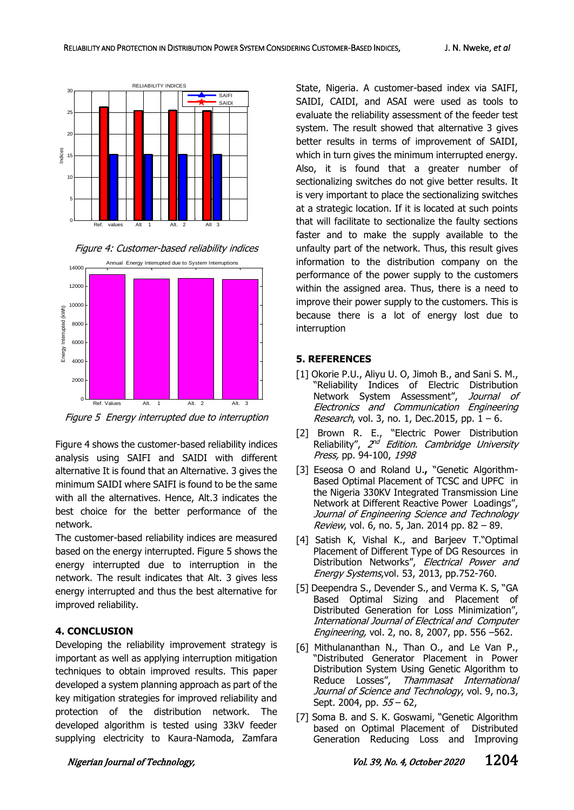





Figure 5 Energy interrupted due to interruption

Figure 4 shows the customer-based reliability indices analysis using SAIFI and SAIDI with different alternative It is found that an Alternative. 3 gives the minimum SAIDI where SAIFI is found to be the same with all the alternatives. Hence, Alt.3 indicates the best choice for the better performance of the network.

The customer-based reliability indices are measured based on the energy interrupted. Figure 5 shows the energy interrupted due to interruption in the network. The result indicates that Alt. 3 gives less energy interrupted and thus the best alternative for improved reliability.

### **4. CONCLUSION**

Developing the reliability improvement strategy is important as well as applying interruption mitigation techniques to obtain improved results. This paper developed a system planning approach as part of the key mitigation strategies for improved reliability and protection of the distribution network. The developed algorithm is tested using 33kV feeder supplying electricity to Kaura-Namoda, Zamfara

State, Nigeria. A customer-based index via SAIFI, SAIDI, CAIDI, and ASAI were used as tools to evaluate the reliability assessment of the feeder test system. The result showed that alternative 3 gives better results in terms of improvement of SAIDI, which in turn gives the minimum interrupted energy. Also, it is found that a greater number of sectionalizing switches do not give better results. It is very important to place the sectionalizing switches at a strategic location. If it is located at such points that will facilitate to sectionalize the faulty sections faster and to make the supply available to the unfaulty part of the network. Thus, this result gives information to the distribution company on the performance of the power supply to the customers within the assigned area. Thus, there is a need to improve their power supply to the customers. This is because there is a lot of energy lost due to interruption

### **5. REFERENCES**

- [1] Okorie P.U., Aliyu U. O, Jimoh B., and Sani S. M., "Reliability Indices of Electric Distribution Network System Assessment", Journal of Electronics and Communication Engineering *Research*, vol. 3, no. 1, Dec. 2015, pp.  $1 - 6$ .
- [2] Brown R. E., "Electric Power Distribution Reliability", 2<sup>nd</sup> Edition. Cambridge University Press, pp. 94-100, 1998
- [3] Eseosa O and Roland U.**,** "Genetic Algorithm-Based Optimal Placement of TCSC and UPFC in the Nigeria 330KV Integrated Transmission Line Network at Different Reactive Power Loadings", Journal of Engineering Science and Technology Review, vol. 6, no. 5, Jan. 2014 pp. 82 – 89.
- [4] Satish K, Vishal K., and Barjeev T."Optimal Placement of Different Type of DG Resources in Distribution Networks", Electrical Power and Energy Systems,vol. 53, 2013, pp.752-760.
- [5] Deependra S., Devender S., and Verma K. S, "GA Based Optimal Sizing and Placement of Distributed Generation for Loss Minimization", International Journal of Electrical and Computer *Engineering,* vol. 2, no. 8, 2007, pp. 556 –562.
- [6] Mithulananthan N., Than O., and Le Van P., "Distributed Generator Placement in Power Distribution System Using Genetic Algorithm to Reduce Losses", Thammasat International Journal of Science and Technology, vol. 9, no.3, Sept. 2004, pp. 55 – 62,
- [7] Soma B. and S. K. Goswami, "Genetic Algorithm based on Optimal Placement of Distributed Generation Reducing Loss and Improving